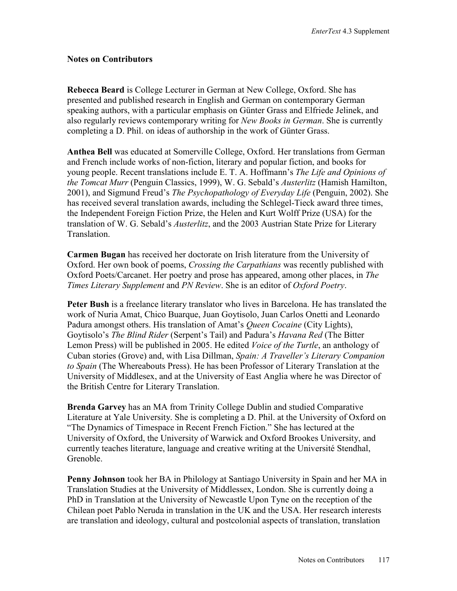## **Notes on Contributors**

**Rebecca Beard** is College Lecturer in German at New College, Oxford. She has presented and published research in English and German on contemporary German speaking authors, with a particular emphasis on Günter Grass and Elfriede Jelinek, and also regularly reviews contemporary writing for *New Books in German*. She is currently completing a D. Phil. on ideas of authorship in the work of Günter Grass.

**Anthea Bell** was educated at Somerville College, Oxford. Her translations from German and French include works of non-fiction, literary and popular fiction, and books for young people. Recent translations include E. T. A. Hoffmann's *The Life and Opinions of the Tomcat Murr* (Penguin Classics, 1999), W. G. Sebald's *Austerlitz* (Hamish Hamilton, 2001), and Sigmund Freud's *The Psychopathology of Everyday Life* (Penguin, 2002). She has received several translation awards, including the Schlegel-Tieck award three times, the Independent Foreign Fiction Prize, the Helen and Kurt Wolff Prize (USA) for the translation of W. G. Sebald's *Austerlitz*, and the 2003 Austrian State Prize for Literary Translation.

**Carmen Bugan** has received her doctorate on Irish literature from the University of Oxford. Her own book of poems, *Crossing the Carpathians* was recently published with Oxford Poets/Carcanet. Her poetry and prose has appeared, among other places, in *The Times Literary Supplement* and *PN Review*. She is an editor of *Oxford Poetry*.

**Peter Bush** is a freelance literary translator who lives in Barcelona. He has translated the work of Nuria Amat, Chico Buarque, Juan Goytisolo, Juan Carlos Onetti and Leonardo Padura amongst others. His translation of Amat's *Queen Cocaine* (City Lights), Goytisolo's *The Blind Rider* (Serpent's Tail) and Padura's *Havana Red* (The Bitter Lemon Press) will be published in 2005. He edited *Voice of the Turtle*, an anthology of Cuban stories (Grove) and, with Lisa Dillman, *Spain: A Traveller's Literary Companion to Spain* (The Whereabouts Press). He has been Professor of Literary Translation at the University of Middlesex, and at the University of East Anglia where he was Director of the British Centre for Literary Translation.

**Brenda Garvey** has an MA from Trinity College Dublin and studied Comparative Literature at Yale University. She is completing a D. Phil. at the University of Oxford on "The Dynamics of Timespace in Recent French Fiction." She has lectured at the University of Oxford, the University of Warwick and Oxford Brookes University, and currently teaches literature, language and creative writing at the Université Stendhal, Grenoble.

**Penny Johnson** took her BA in Philology at Santiago University in Spain and her MA in Translation Studies at the University of Middlessex, London. She is currently doing a PhD in Translation at the University of Newcastle Upon Tyne on the reception of the Chilean poet Pablo Neruda in translation in the UK and the USA. Her research interests are translation and ideology, cultural and postcolonial aspects of translation, translation